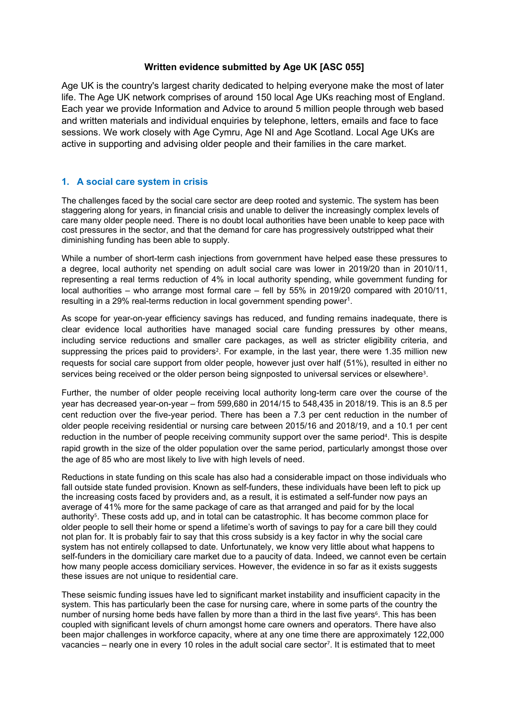## **Written evidence submitted by Age UK [ASC 055]**

Age UK is the country's largest charity dedicated to helping everyone make the most of later life. The Age UK network comprises of around 150 local Age UKs reaching most of England. Each year we provide Information and Advice to around 5 million people through web based and written materials and individual enquiries by telephone, letters, emails and face to face sessions. We work closely with Age Cymru, Age NI and Age Scotland. Local Age UKs are active in supporting and advising older people and their families in the care market.

## **1. A social care system in crisis**

The challenges faced by the social care sector are deep rooted and systemic. The system has been staggering along for years, in financial crisis and unable to deliver the increasingly complex levels of care many older people need. There is no doubt local authorities have been unable to keep pace with cost pressures in the sector, and that the demand for care has progressively outstripped what their diminishing funding has been able to supply.

While a number of short-term cash injections from government have helped ease these pressures to a degree, local authority net spending on adult social care was lower in 2019/20 than in 2010/11, representing a real terms reduction of 4% in local authority spending, while government funding for local authorities – who arrange most formal care – fell by 55% in 2019/20 compared with 2010/11, resulting in a 29% real-terms reduction in local government spending power<sup>1</sup>.

As scope for year-on-year efficiency savings has reduced, and funding remains inadequate, there is clear evidence local authorities have managed social care funding pressures by other means, including service reductions and smaller care packages, as well as stricter eligibility criteria, and suppressing the prices paid to providers<sup>2</sup>. For example, in the last year, there were 1.35 million new requests for social care support from older people, however just over half (51%), resulted in either no services being received or the older person being signposted to universal services or elsewhere<sup>3</sup>.

Further, the number of older people receiving local authority long-term care over the course of the year has decreased year-on-year – from 599,680 in 2014/15 to 548,435 in 2018/19. This is an 8.5 per cent reduction over the five-year period. There has been a 7.3 per cent reduction in the number of older people receiving residential or nursing care between 2015/16 and 2018/19, and a 10.1 per cent reduction in the number of people receiving community support over the same period<sup>4</sup>. This is despite rapid growth in the size of the older population over the same period, particularly amongst those over the age of 85 who are most likely to live with high levels of need.

Reductions in state funding on this scale has also had a considerable impact on those individuals who fall outside state funded provision. Known as self-funders, these individuals have been left to pick up the increasing costs faced by providers and, as a result, it is estimated a self-funder now pays an average of 41% more for the same package of care as that arranged and paid for by the local authority<sup>5</sup>. These costs add up, and in total can be catastrophic. It has become common place for older people to sell their home or spend a lifetime's worth of savings to pay for a care bill they could not plan for. It is probably fair to say that this cross subsidy is a key factor in why the social care system has not entirely collapsed to date. Unfortunately, we know very little about what happens to self-funders in the domiciliary care market due to a paucity of data. Indeed, we cannot even be certain how many people access domiciliary services. However, the evidence in so far as it exists suggests these issues are not unique to residential care.

These seismic funding issues have led to significant market instability and insufficient capacity in the system. This has particularly been the case for nursing care, where in some parts of the country the number of nursing home beds have fallen by more than a third in the last five years<sup>6</sup>. This has been coupled with significant levels of churn amongst home care owners and operators. There have also been major challenges in workforce capacity, where at any one time there are approximately 122,000 vacancies – nearly one in every 10 roles in the adult social care sector<sup>7</sup>. It is estimated that to meet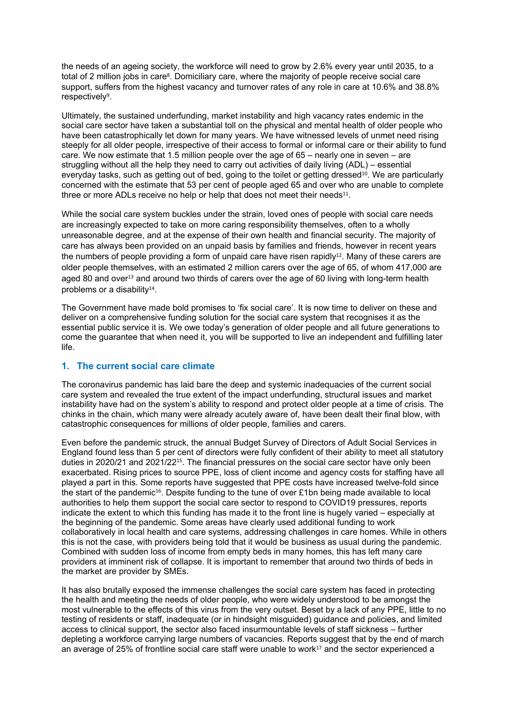the needs of an ageing society, the workforce will need to grow by 2.6% every year until 2035, to a total of 2 million jobs in care<sup>8</sup>. Domiciliary care, where the majority of people receive social care support, suffers from the highest vacancy and turnover rates of any role in care at 10.6% and 38.8% respectively<sup>9</sup>.

Ultimately, the sustained underfunding, market instability and high vacancy rates endemic in the social care sector have taken a substantial toll on the physical and mental health of older people who have been catastrophically let down for many years. We have witnessed levels of unmet need rising steeply for all older people, irrespective of their access to formal or informal care or their ability to fund care. We now estimate that 1.5 million people over the age of 65 – nearly one in seven – are struggling without all the help they need to carry out activities of daily living (ADL) – essential everyday tasks, such as getting out of bed, going to the toilet or getting dressed<sup>10</sup>. We are particularly concerned with the estimate that 53 per cent of people aged 65 and over who are unable to complete three or more ADLs receive no help or help that does not meet their needs $^{11}$ .

While the social care system buckles under the strain, loved ones of people with social care needs are increasingly expected to take on more caring responsibility themselves, often to a wholly unreasonable degree, and at the expense of their own health and financial security. The majority of care has always been provided on an unpaid basis by families and friends, however in recent years the numbers of people providing a form of unpaid care have risen rapidly<sup>12</sup>. Many of these carers are older people themselves, with an estimated 2 million carers over the age of 65, of whom 417,000 are aged 80 and over<sup>13</sup> and around two thirds of carers over the age of 60 living with long-term health problems or a disability<sup>14</sup>.

The Government have made bold promises to 'fix social care'. It is now time to deliver on these and deliver on a comprehensive funding solution for the social care system that recognises it as the essential public service it is. We owe today's generation of older people and all future generations to come the guarantee that when need it, you will be supported to live an independent and fulfilling later life.

## **1. The current social care climate**

The coronavirus pandemic has laid bare the deep and systemic inadequacies of the current social care system and revealed the true extent of the impact underfunding, structural issues and market instability have had on the system's ability to respond and protect older people at a time of crisis. The chinks in the chain, which many were already acutely aware of, have been dealt their final blow, with catastrophic consequences for millions of older people, families and carers.

Even before the pandemic struck, the annual Budget Survey of Directors of Adult Social Services in England found less than 5 per cent of directors were fully confident of their ability to meet all statutory duties in 2020/21 and 2021/22<sup>15</sup>. The financial pressures on the social care sector have only been exacerbated. Rising prices to source PPE, loss of client income and agency costs for staffing have all played a part in this. Some reports have suggested that PPE costs have increased twelve-fold since the start of the pandemic<sup>16</sup>. Despite funding to the tune of over £1bn being made available to local authorities to help them support the social care sector to respond to COVID19 pressures, reports indicate the extent to which this funding has made it to the front line is hugely varied – especially at the beginning of the pandemic. Some areas have clearly used additional funding to work collaboratively in local health and care systems, addressing challenges in care homes. While in others this is not the case, with providers being told that it would be business as usual during the pandemic. Combined with sudden loss of income from empty beds in many homes, this has left many care providers at imminent risk of collapse. It is important to remember that around two thirds of beds in the market are provider by SMEs.

It has also brutally exposed the immense challenges the social care system has faced in protecting the health and meeting the needs of older people, who were widely understood to be amongst the most vulnerable to the effects of this virus from the very outset. Beset by a lack of any PPE, little to no testing of residents or staff, inadequate (or in hindsight misguided) guidance and policies, and limited access to clinical support, the sector also faced insurmountable levels of staff sickness – further depleting a workforce carrying large numbers of vacancies. Reports suggest that by the end of march an average of 25% of frontline social care staff were unable to work $17$  and the sector experienced a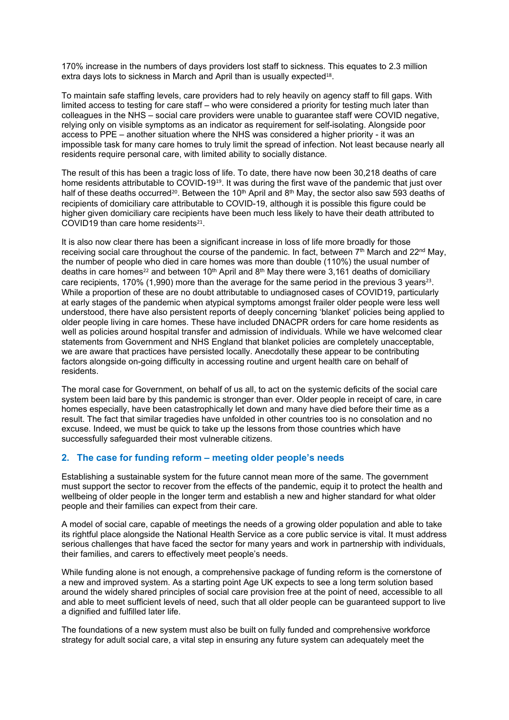170% increase in the numbers of days providers lost staff to sickness. This equates to 2.3 million extra days lots to sickness in March and April than is usually expected<sup>18</sup>.

To maintain safe staffing levels, care providers had to rely heavily on agency staff to fill gaps. With limited access to testing for care staff – who were considered a priority for testing much later than colleagues in the NHS – social care providers were unable to guarantee staff were COVID negative, relying only on visible symptoms as an indicator as requirement for self-isolating. Alongside poor access to PPE – another situation where the NHS was considered a higher priority - it was an impossible task for many care homes to truly limit the spread of infection. Not least because nearly all residents require personal care, with limited ability to socially distance.

The result of this has been a tragic loss of life. To date, there have now been 30,218 deaths of care home residents attributable to COVID-19<sup>19</sup>. It was during the first wave of the pandemic that just over half of these deaths occurred<sup>20</sup>. Between the 10<sup>th</sup> April and 8<sup>th</sup> May, the sector also saw 593 deaths of recipients of domiciliary care attributable to COVID-19, although it is possible this figure could be higher given domiciliary care recipients have been much less likely to have their death attributed to COVID19 than care home residents $21$ .

It is also now clear there has been a significant increase in loss of life more broadly for those receiving social care throughout the course of the pandemic. In fact, between 7<sup>th</sup> March and 22<sup>nd</sup> May, the number of people who died in care homes was more than double (110%) the usual number of deaths in care homes<sup>22</sup> and between 10<sup>th</sup> April and 8<sup>th</sup> May there were 3,161 deaths of domiciliary care recipients, 170% (1,990) more than the average for the same period in the previous 3 years<sup>23</sup>. While a proportion of these are no doubt attributable to undiagnosed cases of COVID19, particularly at early stages of the pandemic when atypical symptoms amongst frailer older people were less well understood, there have also persistent reports of deeply concerning 'blanket' policies being applied to older people living in care homes. These have included DNACPR orders for care home residents as well as policies around hospital transfer and admission of individuals. While we have welcomed clear statements from Government and NHS England that blanket policies are completely unacceptable, we are aware that practices have persisted locally. Anecdotally these appear to be contributing factors alongside on-going difficulty in accessing routine and urgent health care on behalf of residents.

The moral case for Government, on behalf of us all, to act on the systemic deficits of the social care system been laid bare by this pandemic is stronger than ever. Older people in receipt of care, in care homes especially, have been catastrophically let down and many have died before their time as a result. The fact that similar tragedies have unfolded in other countries too is no consolation and no excuse. Indeed, we must be quick to take up the lessons from those countries which have successfully safeguarded their most vulnerable citizens.

## **2. The case for funding reform – meeting older people's needs**

Establishing a sustainable system for the future cannot mean more of the same. The government must support the sector to recover from the effects of the pandemic, equip it to protect the health and wellbeing of older people in the longer term and establish a new and higher standard for what older people and their families can expect from their care.

A model of social care, capable of meetings the needs of a growing older population and able to take its rightful place alongside the National Health Service as a core public service is vital. It must address serious challenges that have faced the sector for many years and work in partnership with individuals, their families, and carers to effectively meet people's needs.

While funding alone is not enough, a comprehensive package of funding reform is the cornerstone of a new and improved system. As a starting point Age UK expects to see a long term solution based around the widely shared principles of social care provision free at the point of need, accessible to all and able to meet sufficient levels of need, such that all older people can be guaranteed support to live a dignified and fulfilled later life.

The foundations of a new system must also be built on fully funded and comprehensive workforce strategy for adult social care, a vital step in ensuring any future system can adequately meet the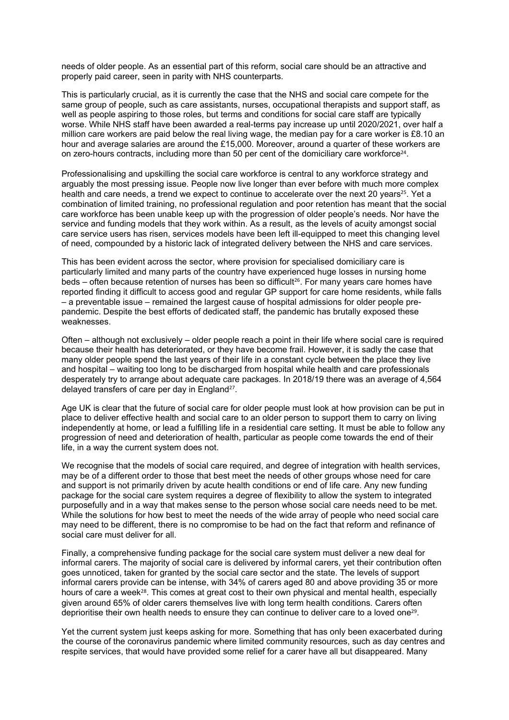needs of older people. As an essential part of this reform, social care should be an attractive and properly paid career, seen in parity with NHS counterparts.

This is particularly crucial, as it is currently the case that the NHS and social care compete for the same group of people, such as care assistants, nurses, occupational therapists and support staff, as well as people aspiring to those roles, but terms and conditions for social care staff are typically worse. While NHS staff have been awarded a real-terms pay increase up until 2020/2021, over half a million care workers are paid below the real living wage, the median pay for a care worker is £8.10 an hour and average salaries are around the £15,000. Moreover, around a quarter of these workers are on zero-hours contracts, including more than 50 per cent of the domiciliary care workforce<sup>24</sup>.

Professionalising and upskilling the social care workforce is central to any workforce strategy and arguably the most pressing issue. People now live longer than ever before with much more complex health and care needs, a trend we expect to continue to accelerate over the next 20 years<sup>25</sup>. Yet a combination of limited training, no professional regulation and poor retention has meant that the social care workforce has been unable keep up with the progression of older people's needs. Nor have the service and funding models that they work within. As a result, as the levels of acuity amongst social care service users has risen, services models have been left ill-equipped to meet this changing level of need, compounded by a historic lack of integrated delivery between the NHS and care services.

This has been evident across the sector, where provision for specialised domiciliary care is particularly limited and many parts of the country have experienced huge losses in nursing home beds – often because retention of nurses has been so difficult<sup>26</sup>. For many years care homes have reported finding it difficult to access good and regular GP support for care home residents, while falls – a preventable issue – remained the largest cause of hospital admissions for older people prepandemic. Despite the best efforts of dedicated staff, the pandemic has brutally exposed these weaknesses.

Often – although not exclusively – older people reach a point in their life where social care is required because their health has deteriorated, or they have become frail. However, it is sadly the case that many older people spend the last years of their life in a constant cycle between the place they live and hospital – waiting too long to be discharged from hospital while health and care professionals desperately try to arrange about adequate care packages. In 2018/19 there was an average of 4,564 delayed transfers of care per day in England<sup>27</sup>.

Age UK is clear that the future of social care for older people must look at how provision can be put in place to deliver effective health and social care to an older person to support them to carry on living independently at home, or lead a fulfilling life in a residential care setting. It must be able to follow any progression of need and deterioration of health, particular as people come towards the end of their life, in a way the current system does not.

We recognise that the models of social care required, and degree of integration with health services, may be of a different order to those that best meet the needs of other groups whose need for care and support is not primarily driven by acute health conditions or end of life care. Any new funding package for the social care system requires a degree of flexibility to allow the system to integrated purposefully and in a way that makes sense to the person whose social care needs need to be met. While the solutions for how best to meet the needs of the wide array of people who need social care may need to be different, there is no compromise to be had on the fact that reform and refinance of social care must deliver for all.

Finally, a comprehensive funding package for the social care system must deliver a new deal for informal carers. The majority of social care is delivered by informal carers, yet their contribution often goes unnoticed, taken for granted by the social care sector and the state. The levels of support informal carers provide can be intense, with 34% of carers aged 80 and above providing 35 or more hours of care a week<sup>28</sup>. This comes at great cost to their own physical and mental health, especially given around 65% of older carers themselves live with long term health conditions. Carers often deprioritise their own health needs to ensure they can continue to deliver care to a loved one<sup>29</sup>.

Yet the current system just keeps asking for more. Something that has only been exacerbated during the course of the coronavirus pandemic where limited community resources, such as day centres and respite services, that would have provided some relief for a carer have all but disappeared. Many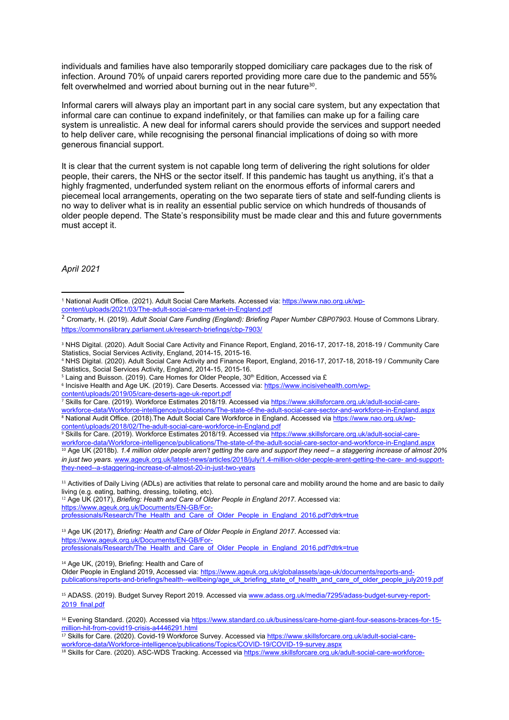individuals and families have also temporarily stopped domiciliary care packages due to the risk of infection. Around 70% of unpaid carers reported providing more care due to the pandemic and 55% felt overwhelmed and worried about burning out in the near future<sup>30</sup>.

Informal carers will always play an important part in any social care system, but any expectation that informal care can continue to expand indefinitely, or that families can make up for a failing care system is unrealistic. A new deal for informal carers should provide the services and support needed to help deliver care, while recognising the personal financial implications of doing so with more generous financial support.

It is clear that the current system is not capable long term of delivering the right solutions for older people, their carers, the NHS or the sector itself. If this pandemic has taught us anything, it's that a highly fragmented, underfunded system reliant on the enormous efforts of informal carers and piecemeal local arrangements, operating on the two separate tiers of state and self-funding clients is no way to deliver what is in reality an essential public service on which hundreds of thousands of older people depend. The State's responsibility must be made clear and this and future governments must accept it.

*April 2021*

<sup>4</sup> NHS Digital. (2020). Adult Social Care Activity and Finance Report, England, 2016-17, 2017-18, 2018-19 / Community Care Statistics, Social Services Activity, England, 2014-15, 2015-16.

<sup>7</sup> Skills for Care. (2019). Workforce Estimates 2018/19. Accessed via [https://www.skillsforcare.org.uk/adult-social-care](https://www.skillsforcare.org.uk/adult-social-care-workforce-data/Workforce-intelligence/publications/The-state-of-the-adult-social-care-sector-and-workforce-in-England.aspx)[workforce-data/Workforce-intelligence/publications/The-state-of-the-adult-social-care-sector-and-workforce-in-England.aspx](https://www.skillsforcare.org.uk/adult-social-care-workforce-data/Workforce-intelligence/publications/The-state-of-the-adult-social-care-sector-and-workforce-in-England.aspx)  <sup>8</sup> National Audit Office. (2018).The Adult Social Care Workforce in England. Accessed via [https://www.nao.org.uk/wp](https://www.nao.org.uk/wp-content/uploads/2018/02/The-adult-social-care-workforce-in-England.pdf)[content/uploads/2018/02/The-adult-social-care-workforce-in-England.pdf](https://www.nao.org.uk/wp-content/uploads/2018/02/The-adult-social-care-workforce-in-England.pdf)

<sup>9</sup> Skills for Care. (2019). Workforce Estimates 2018/19. Accessed via [https://www.skillsforcare.org.uk/adult-social-care-](https://www.skillsforcare.org.uk/adult-social-care-workforce-data/Workforce-intelligence/publications/The-state-of-the-adult-social-care-sector-and-workforce-in-England.aspx)

11 Activities of Daily Living (ADLs) are activities that relate to personal care and mobility around the home and are basic to daily living (e.g. eating, bathing, dressing, toileting, etc).

<sup>12</sup> Age UK (2017), *Briefing: Health and Care of Older People in England 2017*. Accessed via: [https://www.ageuk.org.uk/Documents/EN-GB/For](https://www.ageuk.org.uk/Documents/EN-GB/For-professionals/Research/The_Health_and_Care_of_Older_People_in_England_2016.pdf?dtrk=true)[professionals/Research/The\\_Health\\_and\\_Care\\_of\\_Older\\_People\\_in\\_England\\_2016.pdf?dtrk=true](https://www.ageuk.org.uk/Documents/EN-GB/For-professionals/Research/The_Health_and_Care_of_Older_People_in_England_2016.pdf?dtrk=true)

<sup>13</sup> Age UK (2017), *Briefing: Health and Care of Older People in England 2017*. Accessed via: [https://www.ageuk.org.uk/Documents/EN-GB/For](https://www.ageuk.org.uk/Documents/EN-GB/For-professionals/Research/The_Health_and_Care_of_Older_People_in_England_2016.pdf?dtrk=true)[professionals/Research/The\\_Health\\_and\\_Care\\_of\\_Older\\_People\\_in\\_England\\_2016.pdf?dtrk=true](https://www.ageuk.org.uk/Documents/EN-GB/For-professionals/Research/The_Health_and_Care_of_Older_People_in_England_2016.pdf?dtrk=true)

<sup>14</sup> Age UK, (2019), Briefing: Health and Care of

Older People in England 2019, Accessed via: [https://www.ageuk.org.uk/globalassets/age-uk/documents/reports-and](https://www.ageuk.org.uk/globalassets/age-uk/documents/reports-and-publications/reports-and-briefings/health--wellbeing/age_uk_briefing_state_of_health_and_care_of_older_people_july2019.pdf)[publications/reports-and-briefings/health--wellbeing/age\\_uk\\_briefing\\_state\\_of\\_health\\_and\\_care\\_of\\_older\\_people\\_july2019.pdf](https://www.ageuk.org.uk/globalassets/age-uk/documents/reports-and-publications/reports-and-briefings/health--wellbeing/age_uk_briefing_state_of_health_and_care_of_older_people_july2019.pdf)

<sup>15</sup> ADASS. (2019). Budget Survey Report 2019. Accessed via [www.adass.org.uk/media/7295/adass-budget-survey-report-](http://www.adass.org.uk/media/7295/adass-budget-survey-report-2019_final.pdf)[2019\\_final.pdf](http://www.adass.org.uk/media/7295/adass-budget-survey-report-2019_final.pdf)

<sup>1</sup> National Audit Office. (2021). Adult Social Care Markets. Accessed via: [https://www.nao.org.uk/wp](https://www.nao.org.uk/wp-content/uploads/2021/03/The-adult-social-care-market-in-England.pdf)[content/uploads/2021/03/The-adult-social-care-market-in-England.pdf](https://www.nao.org.uk/wp-content/uploads/2021/03/The-adult-social-care-market-in-England.pdf)

<sup>2</sup> Cromarty, H. (2019). *Adult Social Care Funding (England): Briefing Paper Number CBP07903.* House of Commons Library. <https://commonslibrary.parliament.uk/research-briefings/cbp-7903/>

<sup>3</sup> NHS Digital. (2020). Adult Social Care Activity and Finance Report, England, 2016-17, 2017-18, 2018-19 / Community Care Statistics, Social Services Activity, England, 2014-15, 2015-16.

<sup>&</sup>lt;sup>5</sup> Laing and Buisson. (2019). Care Homes for Older People, 30<sup>th</sup> Edition, Accessed via £

<sup>&</sup>lt;sup>6</sup> Incisive Health and Age UK. (2019). Care Deserts. Accessed via: [https://www.incisivehealth.com/wp](https://www.incisivehealth.com/wp-content/uploads/2019/05/care-deserts-age-uk-report.pdf)[content/uploads/2019/05/care-deserts-age-uk-report.pdf](https://www.incisivehealth.com/wp-content/uploads/2019/05/care-deserts-age-uk-report.pdf)

[workforce-data/Workforce-intelligence/publications/The-state-of-the-adult-social-care-sector-and-workforce-in-England.aspx](https://www.skillsforcare.org.uk/adult-social-care-workforce-data/Workforce-intelligence/publications/The-state-of-the-adult-social-care-sector-and-workforce-in-England.aspx)  <sup>10</sup> Age UK (2018b). 1.4 million older people aren't getting the care and support they need – a staggering increase of almost 20% *in just two years.* [www.ageuk.org.uk/latest-news/articles/2018/july/1.4-million-older-people-arent-getting-the-care-](http://www.ageuk.org.uk/latest-news/articles/2018/july/1.4-million-older-people-arent-getting-the-care-%20and-support-they-need--a-staggering-increase-of-almost-20-in-just-two-years) [and-support](http://www.ageuk.org.uk/latest-news/articles/2018/july/1.4-million-older-people-arent-getting-the-care-%20and-support-they-need--a-staggering-increase-of-almost-20-in-just-two-years)[they-need--a-staggering-increase-of-almost-20-in-just-two-years](http://www.ageuk.org.uk/latest-news/articles/2018/july/1.4-million-older-people-arent-getting-the-care-%20and-support-they-need--a-staggering-increase-of-almost-20-in-just-two-years)

<sup>16</sup> Evening Standard. (2020). Accessed via [https://www.standard.co.uk/business/care-home-giant-four-seasons-braces-for-15](https://www.standard.co.uk/business/care-home-giant-four-seasons-braces-for-15-million-hit-from-covid19-crisis-a4446291.html) [million-hit-from-covid19-crisis-a4446291.html](https://www.standard.co.uk/business/care-home-giant-four-seasons-braces-for-15-million-hit-from-covid19-crisis-a4446291.html)

<sup>&</sup>lt;sup>17</sup> Skills for Care. (2020). Covid-19 Workforce Survey. Accessed via [https://www.skillsforcare.org.uk/adult-social-care](https://www.skillsforcare.org.uk/adult-social-care-workforce-data/Workforce-intelligence/publications/Topics/COVID-19/COVID-19-survey.aspx)[workforce-data/Workforce-intelligence/publications/Topics/COVID-19/COVID-19-survey.aspx](https://www.skillsforcare.org.uk/adult-social-care-workforce-data/Workforce-intelligence/publications/Topics/COVID-19/COVID-19-survey.aspx)

<sup>&</sup>lt;sup>18</sup> Skills for Care. (2020). ASC-WDS Tracking. Accessed via [https://www.skillsforcare.org.uk/adult-social-care-workforce-](https://www.skillsforcare.org.uk/adult-social-care-workforce-data/Workforce-intelligence/publications/Topics/COVID-19/ASC-WDS-Monthly-Tracking.aspx)